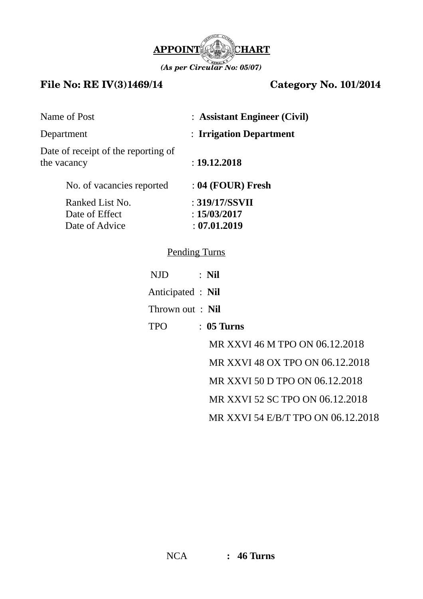

## **File No: RE IV(3)1469/14 Category No. 101/2014**

| : Assistant Engineer (Civil)                   |  |
|------------------------------------------------|--|
| : Irrigation Department                        |  |
| : 19.12.2018                                   |  |
| : 04 (FOUR) Fresh                              |  |
| : 319/17/SSVII<br>: 15/03/2017<br>: 07.01.2019 |  |
|                                                |  |

## Pending Turns

| NJD.              | $:$ Nil                         |
|-------------------|---------------------------------|
| Anticipated : Nil |                                 |
| Thrown out: Nil   |                                 |
| <b>TPO</b>        | $\therefore$ 05 Turns           |
|                   | MR XXVI 46 M TPO ON 06.12.2018  |
|                   | MR XXVI 48 OX TPO ON 06.12.2018 |
|                   | MR XXVI 50 D TPO ON 06.12.2018  |
|                   | MR XXVI 52 SC TPO ON 06.12.2018 |
|                   |                                 |

MR XXVI 54 E/B/T TPO ON 06.12.2018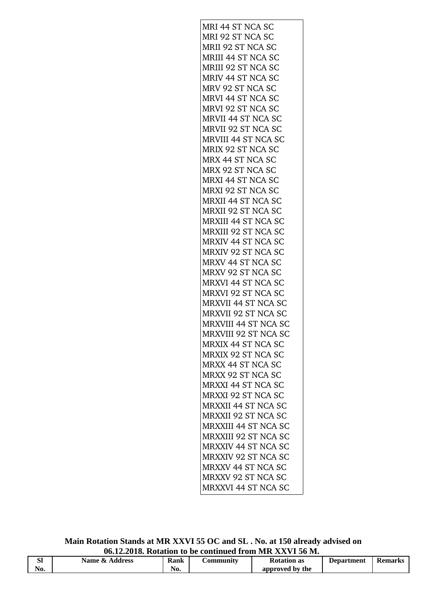| MRI 44 ST NCA SC            |
|-----------------------------|
| MRI 92 ST NCA SC            |
| MRII 92 ST NCA SC           |
| MRIII 44 ST NCA SC          |
| MRIII 92 ST NCA SC          |
| MRIV 44 ST NCA SC           |
| MRV 92 ST NCA SC            |
| <b>MRVI 44 ST NCA SC</b>    |
| MRVI 92 ST NCA SC           |
| <b>MRVII 44 ST NCA SC</b>   |
| MRVII 92 ST NCA SC          |
| <b>MRVIII 44 ST NCA SC</b>  |
|                             |
| MRIX 92 ST NCA SC           |
| MRX 44 ST NCA SC            |
| MRX 92 ST NCA SC            |
| MRXI 44 ST NCA SC           |
| MRXI 92 ST NCA SC           |
| MRXII 44 ST NCA SC          |
| MRXII 92 ST NCA SC          |
| <b>MRXIII 44 ST NCA SC</b>  |
| MRXIII 92 ST NCA SC         |
| <b>MRXIV 44 ST NCA SC</b>   |
| MRXIV 92 ST NCA SC          |
| MRXV 44 ST NCA SC           |
| MRXV 92 ST NCA SC           |
| MRXVI 44 ST NCA SC          |
| MRXVI 92 ST NCA SC          |
| MRXVII 44 ST NCA SC         |
| MRXVII 92 ST NCA SC         |
| MRXVIII 44 ST NCA SC        |
| MRXVIII 92 ST NCA SC        |
| <b>MRXIX 44 ST NCA SC</b>   |
| MRXIX 92 ST NCA SC          |
| <b>MRXX 44 ST NCA SC</b>    |
|                             |
| <b>MRXX 92 ST NCA SC</b>    |
| <b>MRXXI 44 ST NCA SC</b>   |
| <b>MRXXI 92 ST NCA SC</b>   |
| <b>MRXXII 44 ST NCA SC</b>  |
| <b>MRXXII 92 ST NCA SC</b>  |
| <b>MRXXIII 44 ST NCA SC</b> |
| <b>MRXXIII 92 ST NCA SC</b> |
| <b>MRXXIV 44 ST NCA SC</b>  |
| MRXXIV 92 ST NCA SC         |
| <b>MRXXV 44 ST NCA SC</b>   |
| MRXXV 92 ST NCA SC          |
| <b>MRXXVI 44 ST NCA SC</b>  |
|                             |

**Main Rotation Stands at MR XXVI 55 OC and SL . No. at 150 already advised on 06.12.2018. Rotation to be continued from MR XXVI 56 M.**

| сı<br>JΙ | Name &<br>Address | <b>Rank</b> | <b>_ommunitv</b> | <b>Rotation as</b> | Department | Remarks |
|----------|-------------------|-------------|------------------|--------------------|------------|---------|
| No.      |                   | No.         |                  | approved by the    |            |         |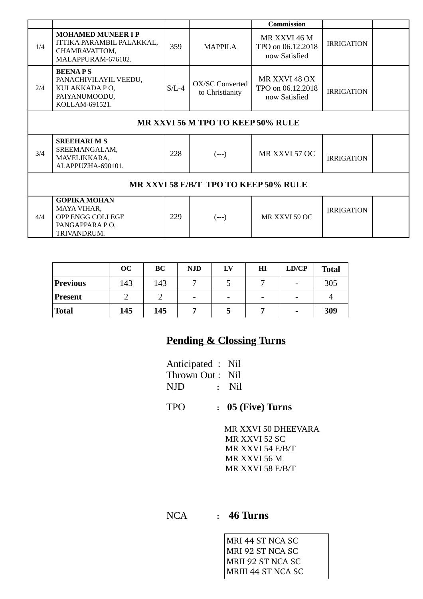|     |                                                                                               |         |                                           | <b>Commission</b>                                   |                   |  |
|-----|-----------------------------------------------------------------------------------------------|---------|-------------------------------------------|-----------------------------------------------------|-------------------|--|
| 1/4 | <b>MOHAMED MUNEER I P</b><br>ITTIKA PARAMBIL PALAKKAL,<br>CHAMRAVATTOM,<br>MALAPPURAM-676102. | 359     | MAPPILA                                   | MR XXVI 46 M<br>TPO on 06.12.2018<br>now Satisfied  | <b>IRRIGATION</b> |  |
| 2/4 | <b>BEENAPS</b><br>PANACHIVILAYIL VEEDU,<br>KULAKKADA PO,<br>PAIYANUMOODU,<br>KOLLAM-691521.   | $S/L-4$ | <b>OX/SC Converted</b><br>to Christianity | MR XXVI 48 OX<br>TPO on 06.12.2018<br>now Satisfied | <b>IRRIGATION</b> |  |
|     | MR XXVI 56 M TPO TO KEEP 50% RULE                                                             |         |                                           |                                                     |                   |  |
| 3/4 | <b>SREEHARIMS</b><br>SREEMANGALAM,<br>MAVELIKKARA,<br>ALAPPUZHA-690101.                       | 228     | $(--)$                                    | MR XXVI 57 OC                                       | <b>IRRIGATION</b> |  |
|     | MR XXVI 58 E/B/T TPO TO KEEP 50% RULE                                                         |         |                                           |                                                     |                   |  |
| 4/4 | <b>GOPIKA MOHAN</b><br>MAYA VIHAR,<br>OPP ENGG COLLEGE<br>PANGAPPARA PO,<br>TRIVANDRUM.       | 229     | $(--)$                                    | MR XXVI 59 OC                                       | <b>IRRIGATION</b> |  |

|                 | <b>OC</b> | BC  | <b>NJD</b> | LV | ΗΙ | LD/CP | <b>Total</b> |
|-----------------|-----------|-----|------------|----|----|-------|--------------|
| <b>Previous</b> | 143       | 143 |            | ل  |    | -     | 305          |
| <b>Present</b>  |           |     | -          |    | -  | -     |              |
| <b>Total</b>    | 145       | 145 |            | כ  |    | -     | 309          |

## **Pending & Clossing Turns**

| Anticipated : Nil |         |
|-------------------|---------|
| Thrown Out : Nil  |         |
| NJD               | $:$ Nil |

TPO **: 05 (Five) Turns**

 MR XXVI 50 DHEEVARA MR XXVI 52 SC MR XXVI 54 E/B/T MR XXVI 56 M MR XXVI 58 E/B/T

NCA **: 46 Turns**

MRI 44 ST NCA SC MRI 92 ST NCA SC MRII 92 ST NCA SC MRIII 44 ST NCA SC